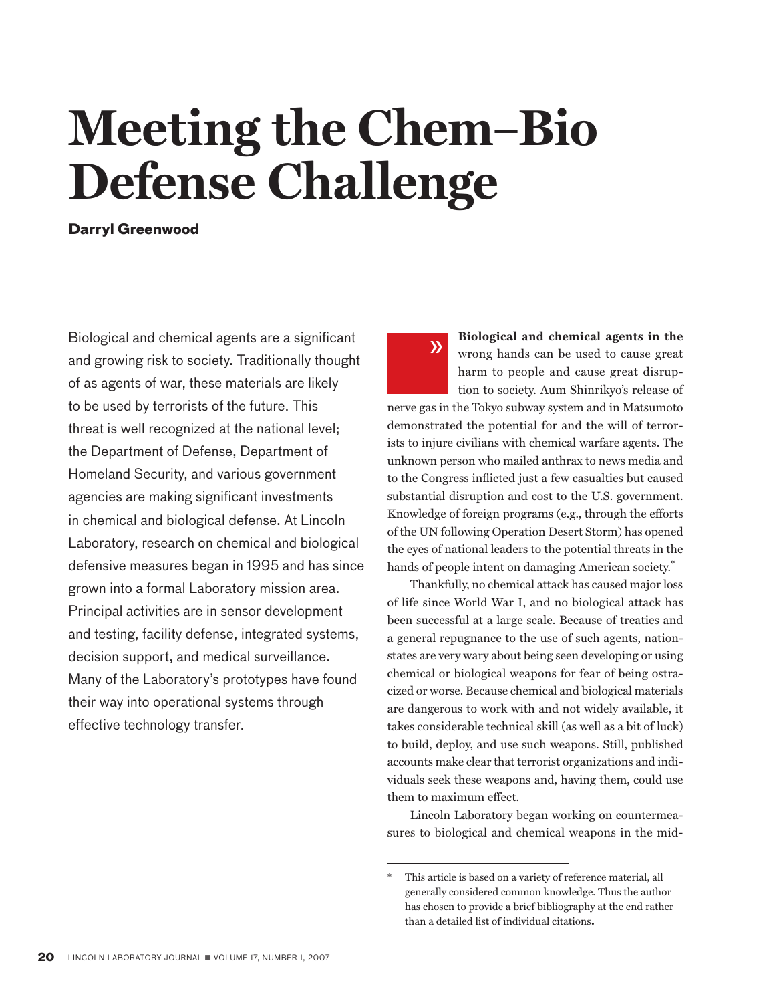# **Meeting the Chem–Bio Defense Challenge**

**Darryl Greenwood**

Biological and chemical agents are a significant and growing risk to society. Traditionally thought of as agents of war, these materials are likely to be used by terrorists of the future. This threat is well recognized at the national level; the Department of Defense, Department of Homeland Security, and various government agencies are making significant investments in chemical and biological defense. At Lincoln Laboratory, research on chemical and biological defensive measures began in 1995 and has since grown into a formal Laboratory mission area. Principal activities are in sensor development and testing, facility defense, integrated systems, decision support, and medical surveillance. Many of the Laboratory's prototypes have found their way into operational systems through effective technology transfer.

**Biological and chemical agents in the**  wrong hands can be used to cause great harm to people and cause great disruption to society. Aum Shinrikyo's release of  $\lambda$ 

nerve gas in the Tokyo subway system and in Matsumoto demonstrated the potential for and the will of terrorists to injure civilians with chemical warfare agents. The unknown person who mailed anthrax to news media and to the Congress inflicted just a few casualties but caused substantial disruption and cost to the U.S. government. Knowledge of foreign programs (e.g., through the efforts of the UN following Operation Desert Storm) has opened the eyes of national leaders to the potential threats in the hands of people intent on damaging American society.<sup>\*</sup>

Thankfully, no chemical attack has caused major loss of life since World War I, and no biological attack has been successful at a large scale. Because of treaties and a general repugnance to the use of such agents, nationstates are very wary about being seen developing or using chemical or biological weapons for fear of being ostracized or worse. Because chemical and biological materials are dangerous to work with and not widely available, it takes considerable technical skill (as well as a bit of luck) to build, deploy, and use such weapons. Still, published accounts make clear that terrorist organizations and individuals seek these weapons and, having them, could use them to maximum effect.

Lincoln Laboratory began working on countermeasures to biological and chemical weapons in the mid-

This article is based on a variety of reference material, all generally considered common knowledge. Thus the author has chosen to provide a brief bibliography at the end rather than a detailed list of individual citations**.**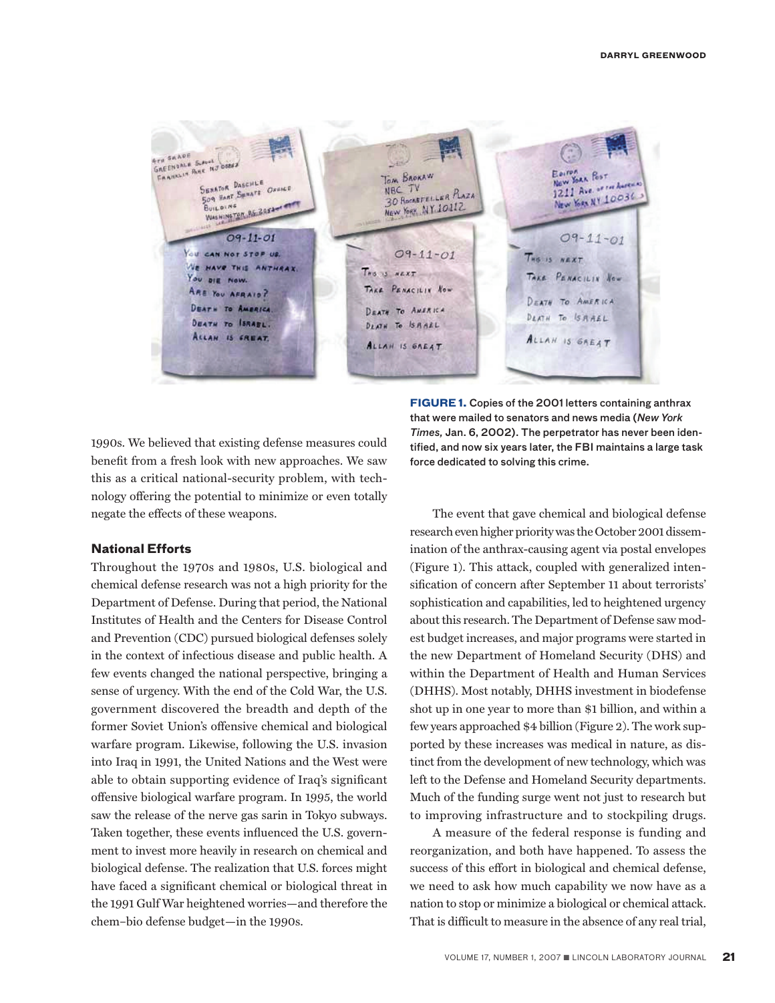

1990s. We believed that existing defense measures could benefit from a fresh look with new approaches. We saw this as a critical national-security problem, with technology offering the potential to minimize or even totally negate the effects of these weapons.

### **National Efforts**

Throughout the 1970s and 1980s, U.S. biological and chemical defense research was not a high priority for the Department of Defense. During that period, the National Institutes of Health and the Centers for Disease Control and Prevention (CDC) pursued biological defenses solely in the context of infectious disease and public health. A few events changed the national perspective, bringing a sense of urgency. With the end of the Cold War, the U.S. government discovered the breadth and depth of the former Soviet Union's offensive chemical and biological warfare program. Likewise, following the U.S. invasion into Iraq in 1991, the United Nations and the West were able to obtain supporting evidence of Iraq's significant offensive biological warfare program. In 1995, the world saw the release of the nerve gas sarin in Tokyo subways. Taken together, these events influenced the U.S. government to invest more heavily in research on chemical and biological defense. The realization that U.S. forces might have faced a significant chemical or biological threat in the 1991 Gulf War heightened worries—and therefore the chem–bio defense budget—in the 1990s.

**FIGURE 1.** Copies of the 2001 letters containing anthrax that were mailed to senators and news media (*New York Times,* Jan. 6, 2002). The perpetrator has never been identified, and now six years later, the FBI maintains a large task force dedicated to solving this crime.

The event that gave chemical and biological defense research even higher priority was the October 2001 dissemination of the anthrax-causing agent via postal envelopes (Figure 1). This attack, coupled with generalized intensification of concern after September 11 about terrorists' sophistication and capabilities, led to heightened urgency about this research. The Department of Defense saw modest budget increases, and major programs were started in the new Department of Homeland Security (DHS) and within the Department of Health and Human Services (DHHS). Most notably, DHHS investment in biodefense shot up in one year to more than \$1 billion, and within a few years approached \$4 billion (Figure 2). The work supported by these increases was medical in nature, as distinct from the development of new technology, which was left to the Defense and Homeland Security departments. Much of the funding surge went not just to research but to improving infrastructure and to stockpiling drugs.

A measure of the federal response is funding and reorganization, and both have happened. To assess the success of this effort in biological and chemical defense, we need to ask how much capability we now have as a nation to stop or minimize a biological or chemical attack. That is difficult to measure in the absence of any real trial,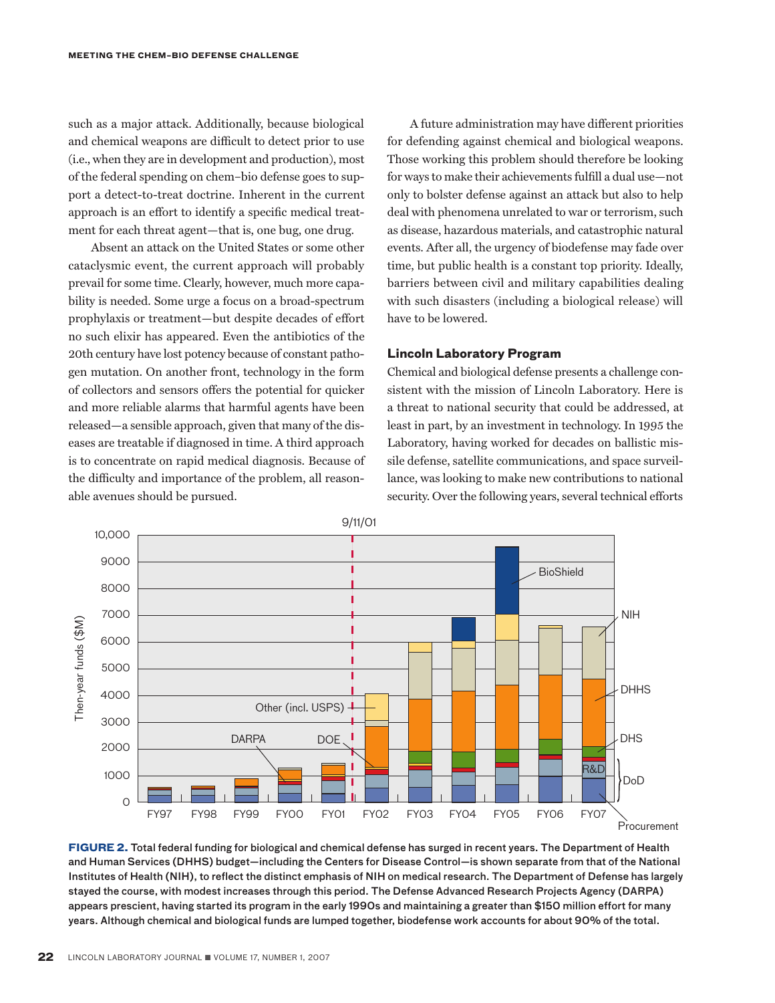such as a major attack. Additionally, because biological and chemical weapons are difficult to detect prior to use (i.e., when they are in development and production), most of the federal spending on chem–bio defense goes to support a detect-to-treat doctrine. Inherent in the current approach is an effort to identify a specific medical treatment for each threat agent—that is, one bug, one drug.

Absent an attack on the United States or some other cataclysmic event, the current approach will probably prevail for some time. Clearly, however, much more capability is needed. Some urge a focus on a broad-spectrum prophylaxis or treatment—but despite decades of effort no such elixir has appeared. Even the antibiotics of the 20th century have lost potency because of constant pathogen mutation. On another front, technology in the form of collectors and sensors offers the potential for quicker and more reliable alarms that harmful agents have been released—a sensible approach, given that many of the diseases are treatable if diagnosed in time. A third approach is to concentrate on rapid medical diagnosis. Because of the difficulty and importance of the problem, all reasonable avenues should be pursued.

A future administration may have different priorities for defending against chemical and biological weapons. Those working this problem should therefore be looking for ways to make their achievements fulfill a dual use—not only to bolster defense against an attack but also to help deal with phenomena unrelated to war or terrorism, such as disease, hazardous materials, and catastrophic natural events. After all, the urgency of biodefense may fade over time, but public health is a constant top priority. Ideally, barriers between civil and military capabilities dealing with such disasters (including a biological release) will have to be lowered.

### **Lincoln Laboratory Program**

Chemical and biological defense presents a challenge consistent with the mission of Lincoln Laboratory. Here is a threat to national security that could be addressed, at least in part, by an investment in technology. In 1995 the Laboratory, having worked for decades on ballistic missile defense, satellite communications, and space surveillance, was looking to make new contributions to national security. Over the following years, several technical efforts



**FIGURE 2.** Total federal funding for biological and chemical defense has surged in recent years. The Department of Health and Human Services (DHHS) budget—including the Centers for Disease Control—is shown separate from that of the National Institutes of Health (NIH), to reflect the distinct emphasis of NIH on medical research. The Department of Defense has largely stayed the course, with modest increases through this period. The Defense Advanced Research Projects Agency (DARPA) appears prescient, having started its program in the early 1990s and maintaining a greater than \$150 million effort for many years. Although chemical and biological funds are lumped together, biodefense work accounts for about 90% of the total.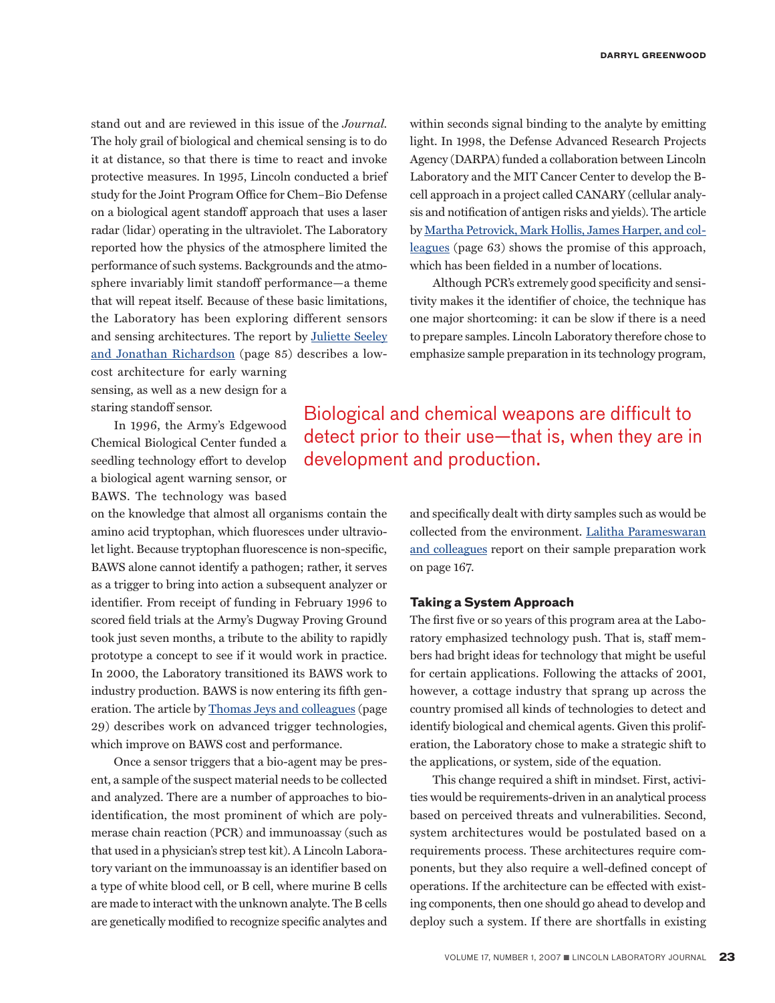stand out and are reviewed in this issue of the *Journal.*  The holy grail of biological and chemical sensing is to do it at distance, so that there is time to react and invoke protective measures. In 1995, Lincoln conducted a brief study for the Joint Program Office for Chem–Bio Defense on a biological agent standoff approach that uses a laser radar (lidar) operating in the ultraviolet. The Laboratory reported how the physics of the atmosphere limited the performance of such systems. Backgrounds and the atmosphere invariably limit standoff performance—a theme that will repeat itself. Because of these basic limitations, the Laboratory has been exploring different sensors [and sensing architectures. The report by Juliette Seeley](http://lldocs/stellent/groups/llj-public/documents/ll/ll-115543.pdf) and Jonathan Richardson (page 85) describes a low-

cost architecture for early warning sensing, as well as a new design for a staring standoff sensor.

In 1996, the Army's Edgewood Chemical Biological Center funded a seedling technology effort to develop a biological agent warning sensor, or BAWS. The technology was based

on the knowledge that almost all organisms contain the amino acid tryptophan, which fluoresces under ultraviolet light. Because tryptophan fluorescence is non-specific, BAWS alone cannot identify a pathogen; rather, it serves as a trigger to bring into action a subsequent analyzer or identifier. From receipt of funding in February 1996 to scored field trials at the Army's Dugway Proving Ground took just seven months, a tribute to the ability to rapidly prototype a concept to see if it would work in practice. In 2000, the Laboratory transitioned its BAWS work to industry production. BAWS is now entering its fifth generation. The article by [Thomas Jeys and colleagues](http://lldocs/stellent/groups/llj-public/documents/ll/ll-115539.pdf) (page 29) describes work on advanced trigger technologies, which improve on BAWS cost and performance.

Once a sensor triggers that a bio-agent may be present, a sample of the suspect material needs to be collected and analyzed. There are a number of approaches to bioidentification, the most prominent of which are polymerase chain reaction (PCR) and immunoassay (such as that used in a physician's strep test kit). A Lincoln Laboratory variant on the immunoassay is an identifier based on a type of white blood cell, or B cell, where murine B cells are made to interact with the unknown analyte. The B cells are genetically modified to recognize specific analytes and

within seconds signal binding to the analyte by emitting light. In 1998, the Defense Advanced Research Projects Agency (DARPA) funded a collaboration between Lincoln Laboratory and the MIT Cancer Center to develop the Bcell approach in a project called CANARY (cellular analysis and notification of antigen risks and yields). The article [by Martha Petrovick, Mark Hollis, James Harper, and col](http://lldocs/stellent/groups/llj-public/documents/ll/ll-115542.pdf)leagues (page 63) shows the promise of this approach, which has been fielded in a number of locations.

Although PCR's extremely good specificity and sensitivity makes it the identifier of choice, the technique has one major shortcoming: it can be slow if there is a need to prepare samples. Lincoln Laboratory therefore chose to emphasize sample preparation in its technology program,

Biological and chemical weapons are difficult to detect prior to their use—that is, when they are in development and production.

> and specifically dealt with dirty samples such as would be [collected from the environment. Lalitha Parameswaran](http://lldocs/stellent/groups/llj-public/documents/ll/ll-115541.pdf) and colleagues report on their sample preparation work on page 167.

### **Taking a System Approach**

The first five or so years of this program area at the Laboratory emphasized technology push. That is, staff members had bright ideas for technology that might be useful for certain applications. Following the attacks of 2001, however, a cottage industry that sprang up across the country promised all kinds of technologies to detect and identify biological and chemical agents. Given this proliferation, the Laboratory chose to make a strategic shift to the applications, or system, side of the equation.

This change required a shift in mindset. First, activities would be requirements-driven in an analytical process based on perceived threats and vulnerabilities. Second, system architectures would be postulated based on a requirements process. These architectures require components, but they also require a well-defined concept of operations. If the architecture can be effected with existing components, then one should go ahead to develop and deploy such a system. If there are shortfalls in existing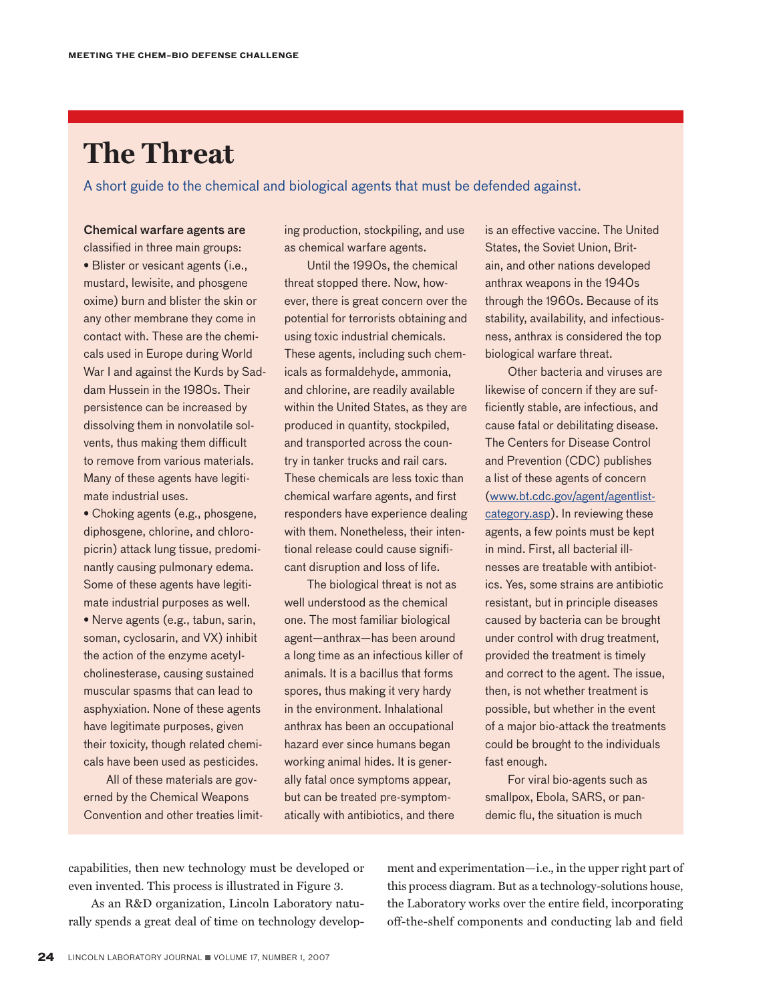# **The Threat**

A short guide to the chemical and biological agents that must be defended against.

## Chemical warfare agents are

classified in three main groups: • Blister or vesicant agents (i.e., mustard, lewisite, and phosgene oxime) burn and blister the skin or any other membrane they come in contact with. These are the chemicals used in Europe during World War I and against the Kurds by Saddam Hussein in the 1980s. Their persistence can be increased by dissolving them in nonvolatile solvents, thus making them difficult to remove from various materials. Many of these agents have legitimate industrial uses.

• Choking agents (e.g., phosgene, diphosgene, chlorine, and chloropicrin) attack lung tissue, predominantly causing pulmonary edema. Some of these agents have legitimate industrial purposes as well. • Nerve agents (e.g., tabun, sarin, soman, cyclosarin, and VX) inhibit the action of the enzyme acetylcholinesterase, causing sustained muscular spasms that can lead to asphyxiation. None of these agents have legitimate purposes, given their toxicity, though related chemicals have been used as pesticides.

All of these materials are governed by the Chemical Weapons Convention and other treaties limiting production, stockpiling, and use as chemical warfare agents.

Until the 1990s, the chemical threat stopped there. Now, however, there is great concern over the potential for terrorists obtaining and using toxic industrial chemicals. These agents, including such chemicals as formaldehyde, ammonia, and chlorine, are readily available within the United States, as they are produced in quantity, stockpiled, and transported across the country in tanker trucks and rail cars. These chemicals are less toxic than chemical warfare agents, and first responders have experience dealing with them. Nonetheless, their intentional release could cause significant disruption and loss of life.

The biological threat is not as well understood as the chemical one. The most familiar biological agent—anthrax—has been around a long time as an infectious killer of animals. It is a bacillus that forms spores, thus making it very hardy in the environment. Inhalational anthrax has been an occupational hazard ever since humans began working animal hides. It is generally fatal once symptoms appear, but can be treated pre-symptomatically with antibiotics, and there

is an effective vaccine. The United States, the Soviet Union, Britain, and other nations developed anthrax weapons in the 1940s through the 1960s. Because of its stability, availability, and infectiousness, anthrax is considered the top biological warfare threat.

Other bacteria and viruses are likewise of concern if they are sufficiently stable, are infectious, and cause fatal or debilitating disease. The Centers for Disease Control and Prevention (CDC) publishes a list of these agents of concern [\(www.bt.cdc.gov/agent/agentlist](www.bt.cdc.gov/agent/agentlist-category.asp)category.asp). In reviewing these agents, a few points must be kept in mind. First, all bacterial illnesses are treatable with antibiotics. Yes, some strains are antibiotic resistant, but in principle diseases caused by bacteria can be brought under control with drug treatment, provided the treatment is timely and correct to the agent. The issue, then, is not whether treatment is possible, but whether in the event of a major bio-attack the treatments could be brought to the individuals fast enough.

For viral bio-agents such as smallpox, Ebola, SARS, or pandemic flu, the situation is much

capabilities, then new technology must be developed or even invented. This process is illustrated in Figure 3.

As an R&D organization, Lincoln Laboratory naturally spends a great deal of time on technology development and experimentation—i.e., in the upper right part of this process diagram. But as a technology-solutions house, the Laboratory works over the entire field, incorporating off-the-shelf components and conducting lab and field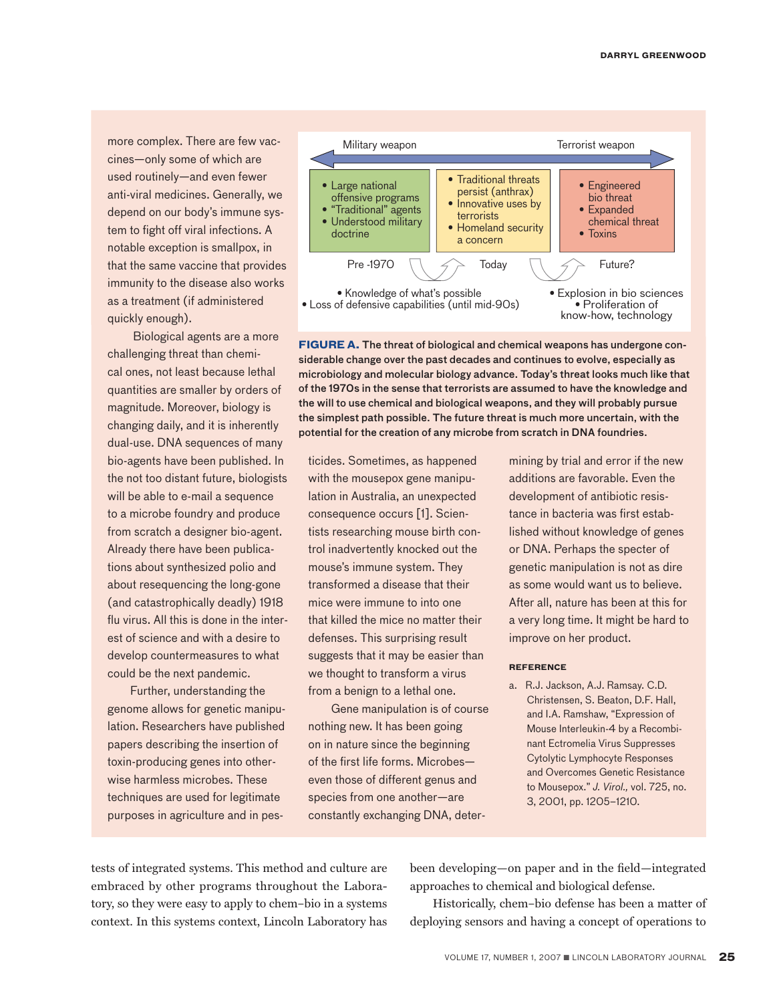more complex. There are few vaccines—only some of which are used routinely—and even fewer anti-viral medicines. Generally, we depend on our body's immune system to fight off viral infections. A notable exception is smallpox, in that the same vaccine that provides immunity to the disease also works as a treatment (if administered quickly enough).

Biological agents are a more challenging threat than chemical ones, not least because lethal quantities are smaller by orders of magnitude. Moreover, biology is changing daily, and it is inherently dual-use. DNA sequences of many bio-agents have been published. In the not too distant future, biologists will be able to e-mail a sequence to a microbe foundry and produce from scratch a designer bio-agent. Already there have been publications about synthesized polio and about resequencing the long-gone (and catastrophically deadly) 1918 flu virus. All this is done in the interest of science and with a desire to develop countermeasures to what could be the next pandemic.

Further, understanding the genome allows for genetic manipulation. Researchers have published papers describing the insertion of toxin-producing genes into otherwise harmless microbes. These techniques are used for legitimate purposes in agriculture and in pes-



**FIGURE A.** The threat of biological and chemical weapons has undergone considerable change over the past decades and continues to evolve, especially as microbiology and molecular biology advance. Today's threat looks much like that of the 1970s in the sense that terrorists are assumed to have the knowledge and the will to use chemical and biological weapons, and they will probably pursue the simplest path possible. The future threat is much more uncertain, with the potential for the creation of any microbe from scratch in DNA foundries.

ticides. Sometimes, as happened with the mousepox gene manipulation in Australia, an unexpected consequence occurs [1]. Scientists researching mouse birth control inadvertently knocked out the mouse's immune system. They transformed a disease that their mice were immune to into one that killed the mice no matter their defenses. This surprising result suggests that it may be easier than we thought to transform a virus from a benign to a lethal one.

Gene manipulation is of course nothing new. It has been going on in nature since the beginning of the first life forms. Microbes even those of different genus and species from one another—are constantly exchanging DNA, determining by trial and error if the new additions are favorable. Even the development of antibiotic resistance in bacteria was first established without knowledge of genes or DNA. Perhaps the specter of genetic manipulation is not as dire as some would want us to believe. After all, nature has been at this for a very long time. It might be hard to improve on her product.

### **Reference**

a. R.J. Jackson, A.J. Ramsay. C.D. Christensen, S. Beaton, D.F. Hall, and I.A. Ramshaw, "Expression of Mouse Interleukin-4 by a Recombinant Ectromelia Virus Suppresses Cytolytic Lymphocyte Responses and Overcomes Genetic Resistance to Mousepox." *J. Virol.,* vol. 725, no. 3, 2001, pp. 1205–1210.

tests of integrated systems. This method and culture are embraced by other programs throughout the Laboratory, so they were easy to apply to chem–bio in a systems context. In this systems context, Lincoln Laboratory has

been developing—on paper and in the field—integrated approaches to chemical and biological defense.

Historically, chem–bio defense has been a matter of deploying sensors and having a concept of operations to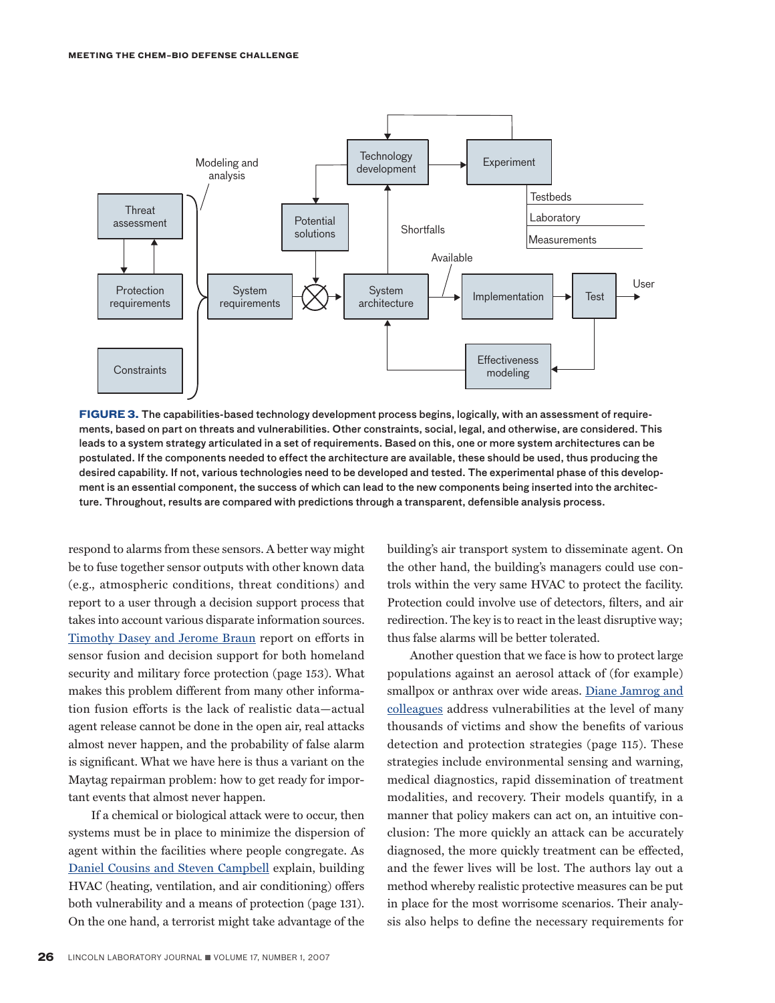

**FIGURE 3.** The capabilities-based technology development process begins, logically, with an assessment of requirements, based on part on threats and vulnerabilities. Other constraints, social, legal, and otherwise, are considered. This leads to a system strategy articulated in a set of requirements. Based on this, one or more system architectures can be postulated. If the components needed to effect the architecture are available, these should be used, thus producing the desired capability. If not, various technologies need to be developed and tested. The experimental phase of this development is an essential component, the success of which can lead to the new components being inserted into the architecture. Throughout, results are compared with predictions through a transparent, defensible analysis process.

respond to alarms from these sensors. A better way might be to fuse together sensor outputs with other known data (e.g., atmospheric conditions, threat conditions) and report to a user through a decision support process that takes into account various disparate information sources. [Timothy Dasey and Jerome Braun](http://lldocs/stellent/groups/llj-public/documents/ll/ll-115536.pdf) report on efforts in sensor fusion and decision support for both homeland security and military force protection (page 153). What makes this problem different from many other information fusion efforts is the lack of realistic data—actual agent release cannot be done in the open air, real attacks almost never happen, and the probability of false alarm is significant. What we have here is thus a variant on the Maytag repairman problem: how to get ready for important events that almost never happen.

If a chemical or biological attack were to occur, then systems must be in place to minimize the dispersion of agent within the facilities where people congregate. As [Daniel Cousins and Steven Campbell](http://lldocs/stellent/groups/llj-public/documents/ll/ll-115535.pdf) explain, building HVAC (heating, ventilation, and air conditioning) offers both vulnerability and a means of protection (page 131). On the one hand, a terrorist might take advantage of the building's air transport system to disseminate agent. On the other hand, the building's managers could use controls within the very same HVAC to protect the facility. Protection could involve use of detectors, filters, and air redirection. The key is to react in the least disruptive way; thus false alarms will be better tolerated.

Another question that we face is how to protect large populations against an aerosol attack of (for example) [smallpox or anthrax over wide areas. Diane Jamrog and](http://lldocs/stellent/groups/llj-public/documents/ll/ll-115538.pdf) colleagues address vulnerabilities at the level of many thousands of victims and show the benefits of various detection and protection strategies (page 115). These strategies include environmental sensing and warning, medical diagnostics, rapid dissemination of treatment modalities, and recovery. Their models quantify, in a manner that policy makers can act on, an intuitive conclusion: The more quickly an attack can be accurately diagnosed, the more quickly treatment can be effected, and the fewer lives will be lost. The authors lay out a method whereby realistic protective measures can be put in place for the most worrisome scenarios. Their analysis also helps to define the necessary requirements for